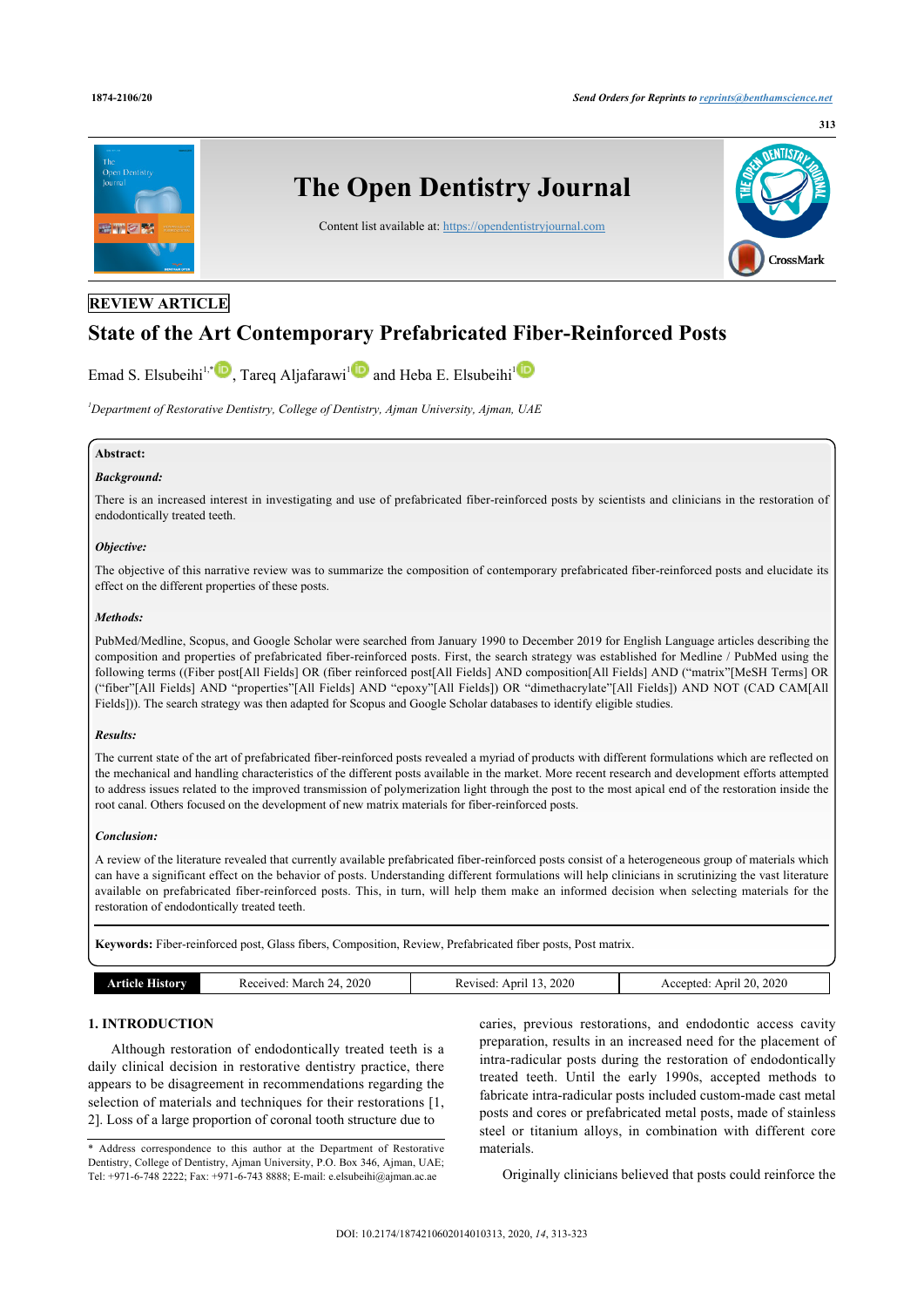

## **REVIEW ARTICLE**

# **State of the Art Contemporary Prefabricated Fiber-Reinforced Posts**

Emad S. Elsubeihi<sup>1,\*</sup> <sub>[1]</sub>, Tareq Aljafarawi<sup>1</sup> and Heba E. Elsubeihi<sup>1</sup>

*<sup>1</sup>Department of Restorative Dentistry, College of Dentistry, Ajman University, Ajman, UAE*

## **Abstract:**

#### *Background:*

There is an increased interest in investigating and use of prefabricated fiber-reinforced posts by scientists and clinicians in the restoration of endodontically treated teeth.

#### *Objective:*

The objective of this narrative review was to summarize the composition of contemporary prefabricated fiber-reinforced posts and elucidate its effect on the different properties of these posts.

#### *Methods:*

PubMed/Medline, Scopus, and Google Scholar were searched from January 1990 to December 2019 for English Language articles describing the composition and properties of prefabricated fiber-reinforced posts. First, the search strategy was established for Medline / PubMed using the following terms ((Fiber post[All Fields] OR (fiber reinforced post[All Fields] AND composition[All Fields] AND ("matrix"[MeSH Terms] OR ("fiber"[All Fields] AND "properties"[All Fields] AND "epoxy"[All Fields]) OR "dimethacrylate"[All Fields]) AND NOT (CAD CAM[All Fields])). The search strategy was then adapted for Scopus and Google Scholar databases to identify eligible studies.

#### *Results:*

The current state of the art of prefabricated fiber-reinforced posts revealed a myriad of products with different formulations which are reflected on the mechanical and handling characteristics of the different posts available in the market. More recent research and development efforts attempted to address issues related to the improved transmission of polymerization light through the post to the most apical end of the restoration inside the root canal. Others focused on the development of new matrix materials for fiber-reinforced posts.

#### *Conclusion:*

A review of the literature revealed that currently available prefabricated fiber-reinforced posts consist of a heterogeneous group of materials which can have a significant effect on the behavior of posts. Understanding different formulations will help clinicians in scrutinizing the vast literature available on prefabricated fiber-reinforced posts. This, in turn, will help them make an informed decision when selecting materials for the restoration of endodontically treated teeth.

**Keywords:** Fiber-reinforced post, Glass fibers, Composition, Review, Prefabricated fiber posts, Post matrix.

| or | 2020<br>envec<br>Mar<br>. .<br>$\prime$<br>ົ | 2020<br>ADELL<br>∵evise… | 2020<br>$\gamma$<br>Anri<br>.ccentec<br>ZU.<br>`` |
|----|----------------------------------------------|--------------------------|---------------------------------------------------|
|    |                                              |                          |                                                   |

## **1. INTRODUCTION**

Although restoration of endodontically treated teeth is a daily clinical decision in restorative dentistry practice, there appears to be disagreement in recommendations regarding the selection of materials and techniques for their restorations [1, 2]. Loss of a large proportion of coronal tooth structure due to

caries, previous restorations, and endodontic access cavity preparation, results in an increased need for the placement of intra-radicular posts during the restoration of endodontically treated teeth. Until the early 1990s, accepted methods to fabricate intra-radicular posts included custom-made cast metal posts and cores or prefabricated metal posts, made of stainless steel or titanium alloys, in combination with different core materials.

Originally clinicians believed that posts could reinforce the

<sup>\*</sup> Address correspondence to this author at the Department of Restorative Dentistry, College of Dentistry, Ajman University, P.O. Box 346, Ajman, UAE; Tel: +971-6-748 2222; Fax: +971-6-743 8888; E-mail: e.elsubeihi@ajman.ac.ae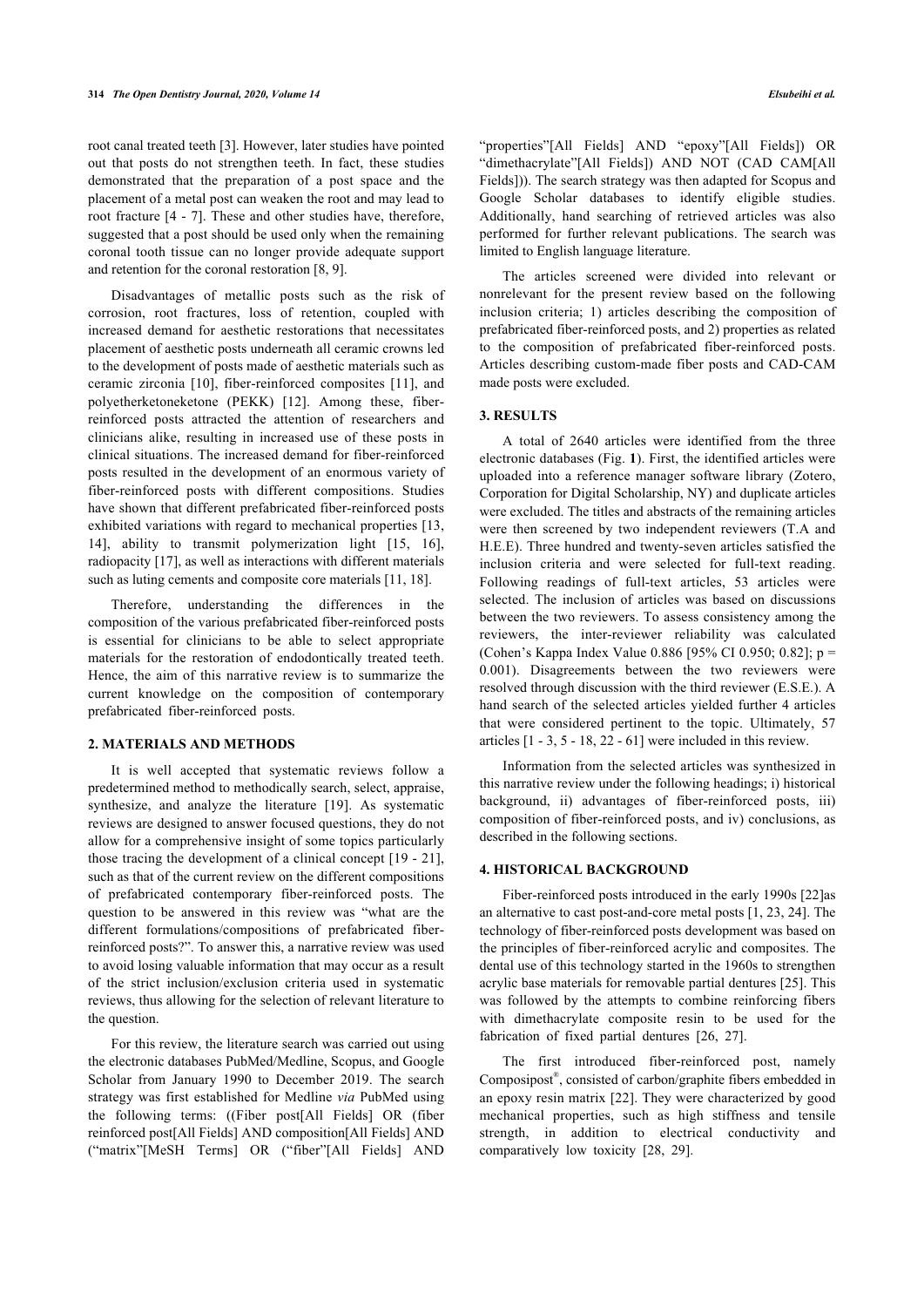root canal treated teeth [3]. However, later studies have pointed out that posts do not strengthen teeth. In fact, these studies demonstrated that the preparation of a post space and the placement of a metal post can weaken the root and may lead to root fracture [4 - 7]. These and other studies have, therefore, suggested that a post should be used only when the remaining coronal tooth tissue can no longer provide adequate support and retention for the coronal restoration [8, 9].

Disadvantages of metallic posts such as the risk of corrosion, root fractures, loss of retention, coupled with increased demand for aesthetic restorations that necessitates placement of aesthetic posts underneath all ceramic crowns led to the development of posts made of aesthetic materials such as ceramic zirconia [10], fiber-reinforced composites [11], and polyetherketoneketone (PEKK) [12]. Among these, fiberreinforced posts attracted the attention of researchers and clinicians alike, resulting in increased use of these posts in clinical situations. The increased demand for fiber-reinforced posts resulted in the development of an enormous variety of fiber-reinforced posts with different compositions. Studies have shown that different prefabricated fiber-reinforced posts exhibited variations with regard to mechanical properties [13, 14], ability to transmit polymerization light [15, 16], radiopacity [17], as well as interactions with different materials such as luting cements and composite core materials [11, 18].

Therefore, understanding the differences in the composition of the various prefabricated fiber-reinforced posts is essential for clinicians to be able to select appropriate materials for the restoration of endodontically treated teeth. Hence, the aim of this narrative review is to summarize the current knowledge on the composition of contemporary prefabricated fiber-reinforced posts.

#### **2. MATERIALS AND METHODS**

It is well accepted that systematic reviews follow a predetermined method to methodically search, select, appraise, synthesize, and analyze the literature [19]. As systematic reviews are designed to answer focused questions, they do not allow for a comprehensive insight of some topics particularly those tracing the development of a clinical concept [19 - 21], such as that of the current review on the different compositions of prefabricated contemporary fiber-reinforced posts. The question to be answered in this review was "what are the different formulations/compositions of prefabricated fiberreinforced posts?". To answer this, a narrative review was used to avoid losing valuable information that may occur as a result of the strict inclusion/exclusion criteria used in systematic reviews, thus allowing for the selection of relevant literature to the question.

For this review, the literature search was carried out using the electronic databases PubMed/Medline, Scopus, and Google Scholar from January 1990 to December 2019. The search strategy was first established for Medline *via* PubMed using the following terms: ((Fiber post[All Fields] OR (fiber reinforced post[All Fields] AND composition[All Fields] AND ("matrix"[MeSH Terms] OR ("fiber"[All Fields] AND

"properties"[All Fields] AND "epoxy"[All Fields]) OR "dimethacrylate"[All Fields]) AND NOT (CAD CAM[All Fields])). The search strategy was then adapted for Scopus and Google Scholar databases to identify eligible studies. Additionally, hand searching of retrieved articles was also performed for further relevant publications. The search was limited to English language literature.

The articles screened were divided into relevant or nonrelevant for the present review based on the following inclusion criteria; 1) articles describing the composition of prefabricated fiber-reinforced posts, and 2) properties as related to the composition of prefabricated fiber-reinforced posts. Articles describing custom-made fiber posts and CAD-CAM made posts were excluded.

## **3. RESULTS**

A total of 2640 articles were identified from the three electronic databases (Fig. **1**). First, the identified articles were uploaded into a reference manager software library (Zotero, Corporation for Digital Scholarship, NY) and duplicate articles were excluded. The titles and abstracts of the remaining articles were then screened by two independent reviewers (T.A and H.E.E). Three hundred and twenty-seven articles satisfied the inclusion criteria and were selected for full-text reading. Following readings of full-text articles, 53 articles were selected. The inclusion of articles was based on discussions between the two reviewers. To assess consistency among the reviewers, the inter-reviewer reliability was calculated (Cohen's Kappa Index Value 0.886 [95% CI 0.950; 0.82]; p = 0.001). Disagreements between the two reviewers were resolved through discussion with the third reviewer (E.S.E.). A hand search of the selected articles yielded further 4 articles that were considered pertinent to the topic. Ultimately, 57 articles [1 - 3, 5 - 18, 22 - 61] were included in this review.

Information from the selected articles was synthesized in this narrative review under the following headings; i) historical background, ii) advantages of fiber-reinforced posts, iii) composition of fiber-reinforced posts, and iv) conclusions, as described in the following sections.

#### **4. HISTORICAL BACKGROUND**

Fiber-reinforced posts introduced in the early 1990s [22]as an alternative to cast post-and-core metal posts [1, 23, 24]. The technology of fiber-reinforced posts development was based on the principles of fiber-reinforced acrylic and composites. The dental use of this technology started in the 1960s to strengthen acrylic base materials for removable partial dentures [25]. This was followed by the attempts to combine reinforcing fibers with dimethacrylate composite resin to be used for the fabrication of fixed partial dentures [26, 27].

The first introduced fiber-reinforced post, namely Composipost® , consisted of carbon/graphite fibers embedded in an epoxy resin matrix [22]. They were characterized by good mechanical properties, such as high stiffness and tensile strength, in addition to electrical conductivity and comparatively low toxicity [28, 29].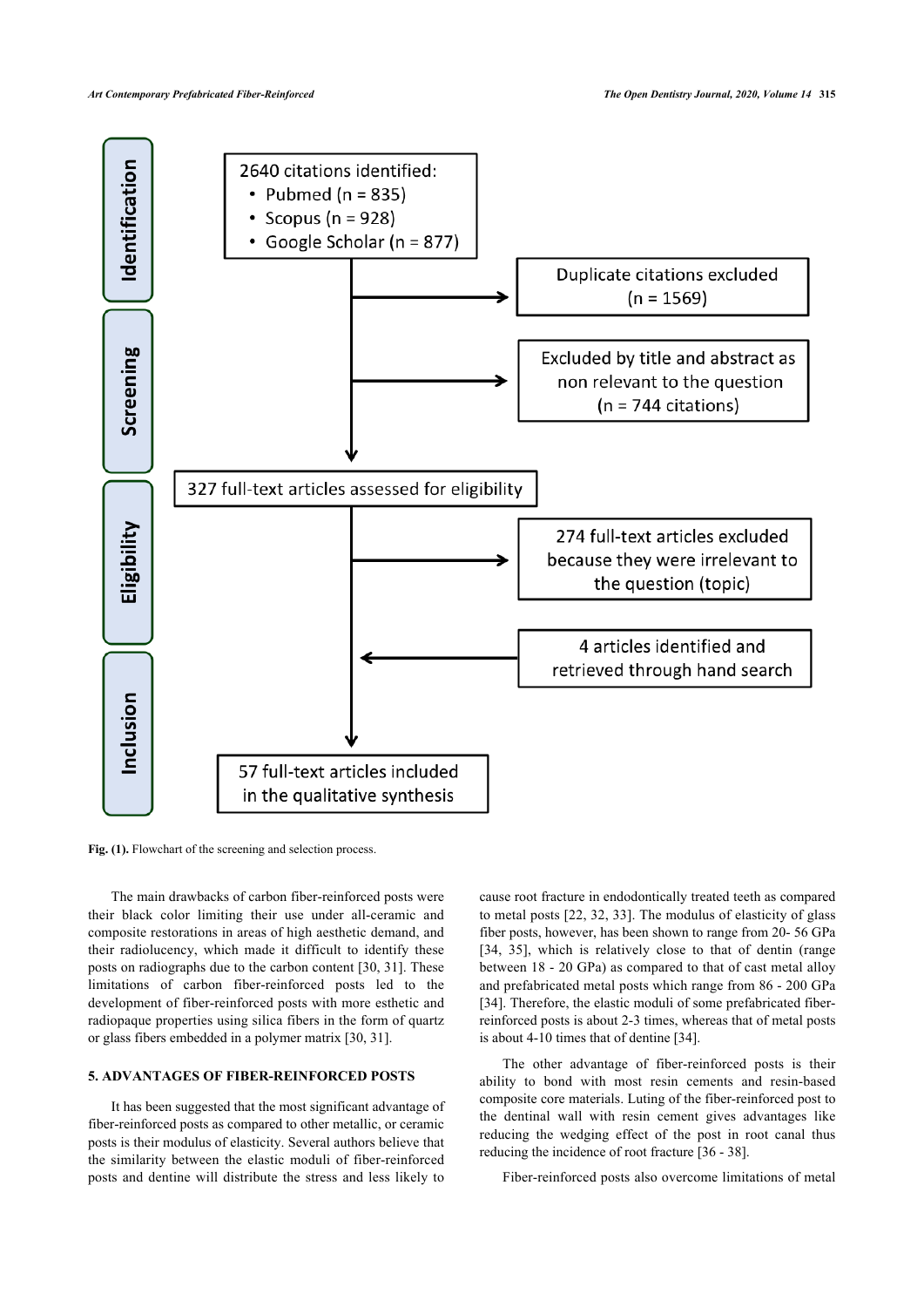

Fig. (1). Flowchart of the screening and selection process.

The main drawbacks of carbon fiber-reinforced posts were their black color limiting their use under all-ceramic and composite restorations in areas of high aesthetic demand, and their radiolucency, which made it difficult to identify these posts on radiographs due to the carbon content [30, 31]. These limitations of carbon fiber-reinforced posts led to the development of fiber-reinforced posts with more esthetic and radiopaque properties using silica fibers in the form of quartz or glass fibers embedded in a polymer matrix [30, 31].

## **5. ADVANTAGES OF FIBER-REINFORCED POSTS**

It has been suggested that the most significant advantage of fiber-reinforced posts as compared to other metallic, or ceramic posts is their modulus of elasticity. Several authors believe that the similarity between the elastic moduli of fiber-reinforced posts and dentine will distribute the stress and less likely to

cause root fracture in endodontically treated teeth as compared to metal posts [22, 32, 33]. The modulus of elasticity of glass fiber posts, however, has been shown to range from 20- 56 GPa [34, 35], which is relatively close to that of dentin (range between 18 - 20 GPa) as compared to that of cast metal alloy and prefabricated metal posts which range from 86 - 200 GPa [34]. Therefore, the elastic moduli of some prefabricated fiberreinforced posts is about 2-3 times, whereas that of metal posts is about 4-10 times that of dentine [34].

The other advantage of fiber-reinforced posts is their ability to bond with most resin cements and resin-based composite core materials. Luting of the fiber-reinforced post to the dentinal wall with resin cement gives advantages like reducing the wedging effect of the post in root canal thus reducing the incidence of root fracture [36 - 38].

Fiber-reinforced posts also overcome limitations of metal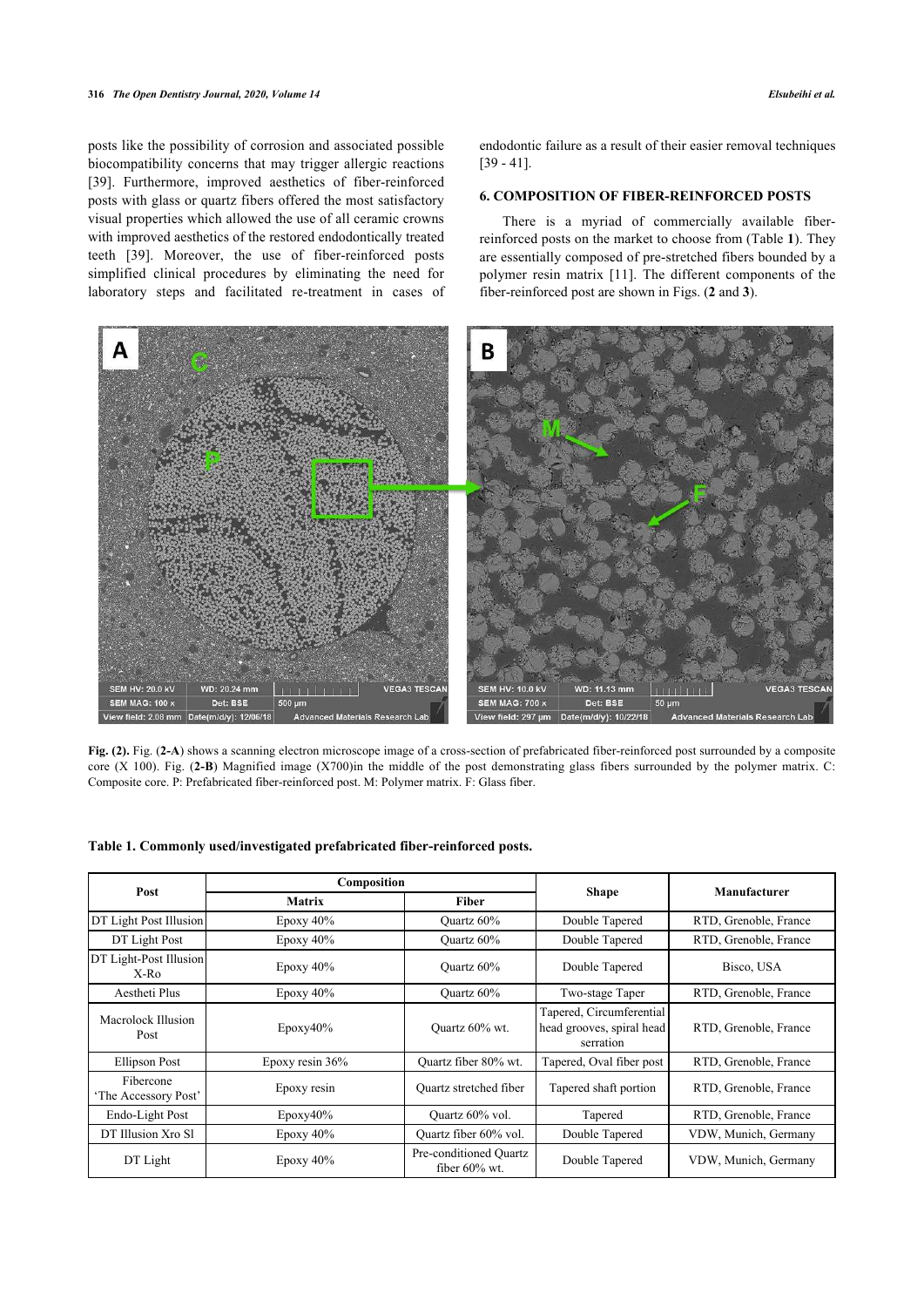posts like the possibility of corrosion and associated possible biocompatibility concerns that may trigger allergic reactions [39]. Furthermore, improved aesthetics of fiber-reinforced posts with glass or quartz fibers offered the most satisfactory visual properties which allowed the use of all ceramic crowns with improved aesthetics of the restored endodontically treated teeth [39]. Moreover, the use of fiber-reinforced posts simplified clinical procedures by eliminating the need for laboratory steps and facilitated re-treatment in cases of endodontic failure as a result of their easier removal techniques [39 - 41].

## **6. COMPOSITION OF FIBER-REINFORCED POSTS**

There is a myriad of commercially available fiberreinforced posts on the market to choose from (Table **1**). They are essentially composed of pre-stretched fibers bounded by a polymer resin matrix [11]. The different components of the fiber-reinforced post are shown in Figs. (**2** and **3**).



**Fig. (2).** Fig. (**2-A**) shows a scanning electron microscope image of a cross-section of prefabricated fiber-reinforced post surrounded by a composite core (X 100). Fig. (**2-B**) Magnified image (X700)in the middle of the post demonstrating glass fibers surrounded by the polymer matrix. C: Composite core. P: Prefabricated fiber-reinforced post. M: Polymer matrix. F: Glass fiber.

### **Table 1. Commonly used/investigated prefabricated fiber-reinforced posts.**

| Post                              | Composition     |                                            |                                                                    | Manufacturer          |
|-----------------------------------|-----------------|--------------------------------------------|--------------------------------------------------------------------|-----------------------|
|                                   | <b>Matrix</b>   | <b>Fiber</b>                               | <b>Shape</b>                                                       |                       |
| <b>DT Light Post Illusion</b>     | Epoxy $40\%$    | Quartz 60%                                 | Double Tapered                                                     | RTD, Grenoble, France |
| DT Light Post                     | Epoxy $40\%$    | Quartz 60%                                 | Double Tapered                                                     | RTD, Grenoble, France |
| DT Light-Post Illusion<br>$X-R0$  | Epoxy $40\%$    | Quartz 60%                                 | Double Tapered                                                     | Bisco, USA            |
| Aestheti Plus                     | Epoxy $40\%$    | Quartz 60%                                 | Two-stage Taper                                                    | RTD, Grenoble, France |
| Macrolock Illusion<br>Post        | Epoxy40%        | Quartz 60% wt.                             | Tapered, Circumferential<br>head grooves, spiral head<br>serration | RTD, Grenoble, France |
| <b>Ellipson Post</b>              | Epoxy resin 36% | Ouartz fiber 80% wt.                       | Tapered, Oval fiber post                                           | RTD, Grenoble, France |
| Fibercone<br>'The Accessory Post' | Epoxy resin     | Quartz stretched fiber                     | Tapered shaft portion                                              | RTD, Grenoble, France |
| Endo-Light Post                   | $E$ poxy40%     | Quartz 60% vol.                            | Tapered                                                            | RTD, Grenoble, France |
| DT Illusion Xro Sl                | Epoxy $40\%$    | Quartz fiber 60% vol.                      | Double Tapered                                                     | VDW, Munich, Germany  |
| DT Light                          | Epoxy $40\%$    | Pre-conditioned Quartz<br>fiber $60\%$ wt. | Double Tapered                                                     | VDW, Munich, Germany  |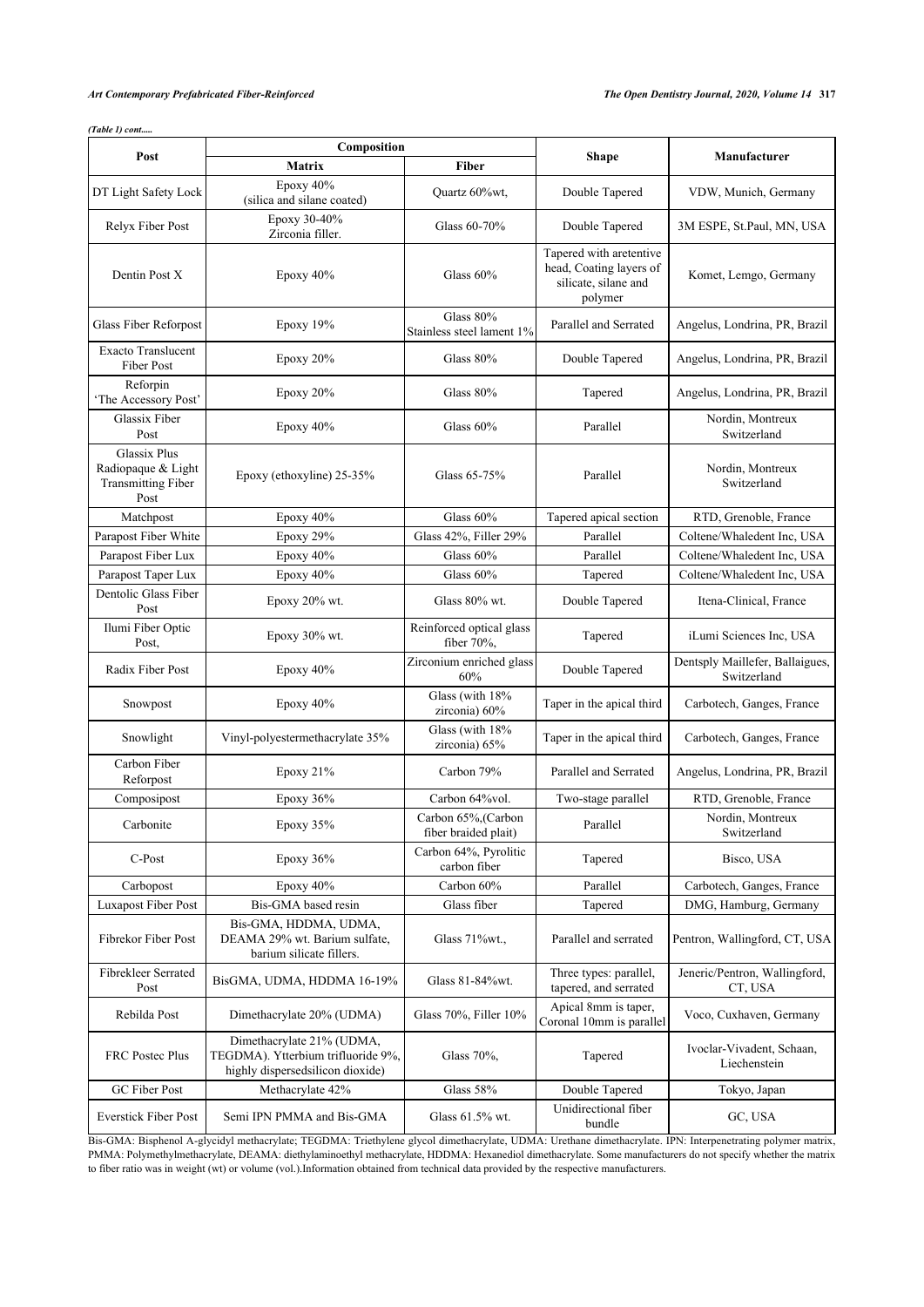*(Table 1) cont.....*

| Post                                                                           | Composition                                                                                         |                                             |                                                                                       |                                                |
|--------------------------------------------------------------------------------|-----------------------------------------------------------------------------------------------------|---------------------------------------------|---------------------------------------------------------------------------------------|------------------------------------------------|
|                                                                                | <b>Matrix</b>                                                                                       | <b>Fiber</b>                                | <b>Shape</b>                                                                          | Manufacturer                                   |
| DT Light Safety Lock                                                           | Epoxy 40%<br>(silica and silane coated)                                                             | Quartz 60%wt,                               | Double Tapered                                                                        | VDW, Munich, Germany                           |
| Relyx Fiber Post                                                               | Epoxy 30-40%<br>Zirconia filler.                                                                    | Glass 60-70%                                | Double Tapered                                                                        | 3M ESPE, St.Paul, MN, USA                      |
| Dentin Post X                                                                  | Epoxy 40%                                                                                           | Glass 60%                                   | Tapered with aretentive<br>head, Coating layers of<br>silicate, silane and<br>polymer | Komet, Lemgo, Germany                          |
| Glass Fiber Reforpost                                                          | Epoxy 19%                                                                                           | Glass 80%<br>Stainless steel lament 1%      | Parallel and Serrated                                                                 | Angelus, Londrina, PR, Brazil                  |
| <b>Exacto Translucent</b><br>Fiber Post                                        | Epoxy 20%                                                                                           | Glass 80%                                   | Double Tapered                                                                        | Angelus, Londrina, PR, Brazil                  |
| Reforpin<br>'The Accessory Post'                                               | Epoxy 20%                                                                                           | Glass 80%                                   | Tapered                                                                               | Angelus, Londrina, PR, Brazil                  |
| Glassix Fiber<br>Post                                                          | Epoxy $40\%$                                                                                        | Glass 60%                                   | Parallel                                                                              | Nordin, Montreux<br>Switzerland                |
| <b>Glassix Plus</b><br>Radiopaque & Light<br><b>Transmitting Fiber</b><br>Post | Epoxy (ethoxyline) 25-35%                                                                           | Glass 65-75%                                | Parallel                                                                              | Nordin, Montreux<br>Switzerland                |
| Matchpost                                                                      | Epoxy 40%                                                                                           | Glass 60%                                   | Tapered apical section                                                                | RTD, Grenoble, France                          |
| Parapost Fiber White                                                           | Epoxy 29%                                                                                           | Glass 42%, Filler 29%                       | Parallel                                                                              | Coltene/Whaledent Inc, USA                     |
| Parapost Fiber Lux                                                             | Epoxy 40%                                                                                           | Glass $60%$                                 | Parallel                                                                              | Coltene/Whaledent Inc, USA                     |
| Parapost Taper Lux                                                             | Epoxy 40%                                                                                           | Glass 60%                                   | Tapered                                                                               | Coltene/Whaledent Inc, USA                     |
| Dentolic Glass Fiber<br>Post                                                   | Epoxy 20% wt.                                                                                       | Glass 80% wt.                               | Double Tapered                                                                        | Itena-Clinical, France                         |
| Ilumi Fiber Optic<br>Post,                                                     | Epoxy 30% wt.                                                                                       | Reinforced optical glass<br>fiber $70\%$ ,  | Tapered                                                                               | iLumi Sciences Inc, USA                        |
| Radix Fiber Post                                                               | Epoxy 40%                                                                                           | Zirconium enriched glass<br>60%             | Double Tapered                                                                        | Dentsply Maillefer, Ballaigues,<br>Switzerland |
| Snowpost                                                                       | Epoxy 40%                                                                                           | Glass (with 18%<br>zirconia) 60%            | Taper in the apical third                                                             | Carbotech, Ganges, France                      |
| Snowlight                                                                      | Vinyl-polyestermethacrylate 35%                                                                     | Glass (with 18%<br>zirconia) 65%            | Taper in the apical third                                                             | Carbotech, Ganges, France                      |
| Carbon Fiber<br>Reforpost                                                      | Epoxy 21%                                                                                           | Carbon 79%                                  | Parallel and Serrated                                                                 | Angelus, Londrina, PR, Brazil                  |
| Composipost                                                                    | Epoxy 36%                                                                                           | Carbon 64%vol.                              | Two-stage parallel                                                                    | RTD, Grenoble, France                          |
| Carbonite                                                                      | Epoxy 35%                                                                                           | Carbon 65%, (Carbon<br>fiber braided plait) | Parallel                                                                              | Nordin, Montreux<br>Switzerland                |
| C-Post                                                                         | Epoxy $36%$                                                                                         | Carbon 64%, Pyrolitic<br>carbon fiber       | Tapered                                                                               | Bisco, USA                                     |
| Carbopost                                                                      | Epoxy $40\%$                                                                                        | Carbon 60%                                  | Parallel                                                                              | Carbotech, Ganges, France                      |
| <b>Luxapost Fiber Post</b>                                                     | Bis-GMA based resin                                                                                 | Glass fiber                                 | Tapered                                                                               | DMG, Hamburg, Germany                          |
| Fibrekor Fiber Post                                                            | Bis-GMA, HDDMA, UDMA,<br>DEAMA 29% wt. Barium sulfate,<br>barium silicate fillers.                  | Glass 71%wt.,                               | Parallel and serrated                                                                 | Pentron, Wallingford, CT, USA                  |
| Fibrekleer Serrated<br>Post                                                    | BisGMA, UDMA, HDDMA 16-19%                                                                          | Glass 81-84%wt.                             | Three types: parallel,<br>tapered, and serrated                                       | Jeneric/Pentron, Wallingford,<br>CT, USA       |
| Rebilda Post                                                                   | Dimethacrylate 20% (UDMA)                                                                           | Glass 70%, Filler 10%                       | Apical 8mm is taper,<br>Coronal 10mm is parallel                                      | Voco, Cuxhaven, Germany                        |
| <b>FRC</b> Postec Plus                                                         | Dimethacrylate 21% (UDMA,<br>TEGDMA). Ytterbium trifluoride 9%,<br>highly dispersedsilicon dioxide) | Glass 70%,                                  | Tapered                                                                               | Ivoclar-Vivadent, Schaan,<br>Liechenstein      |
| GC Fiber Post                                                                  | Methacrylate 42%                                                                                    | Glass 58%                                   | Double Tapered                                                                        | Tokyo, Japan                                   |
| <b>Everstick Fiber Post</b>                                                    | Semi IPN PMMA and Bis-GMA                                                                           | Glass 61.5% wt.                             | Unidirectional fiber<br>bundle                                                        | GC, USA                                        |

Bis-GMA: Bisphenol A-glycidyl methacrylate; TEGDMA: Triethylene glycol dimethacrylate, UDMA: Urethane dimethacrylate. IPN: Interpenetrating polymer matrix, PMMA: Polymethylmethacrylate, DEAMA: diethylaminoethyl methacrylate, HDDMA: Hexanediol dimethacrylate. Some manufacturers do not specify whether the matrix to fiber ratio was in weight (wt) or volume (vol.).Information obtained from technical data provided by the respective manufacturers.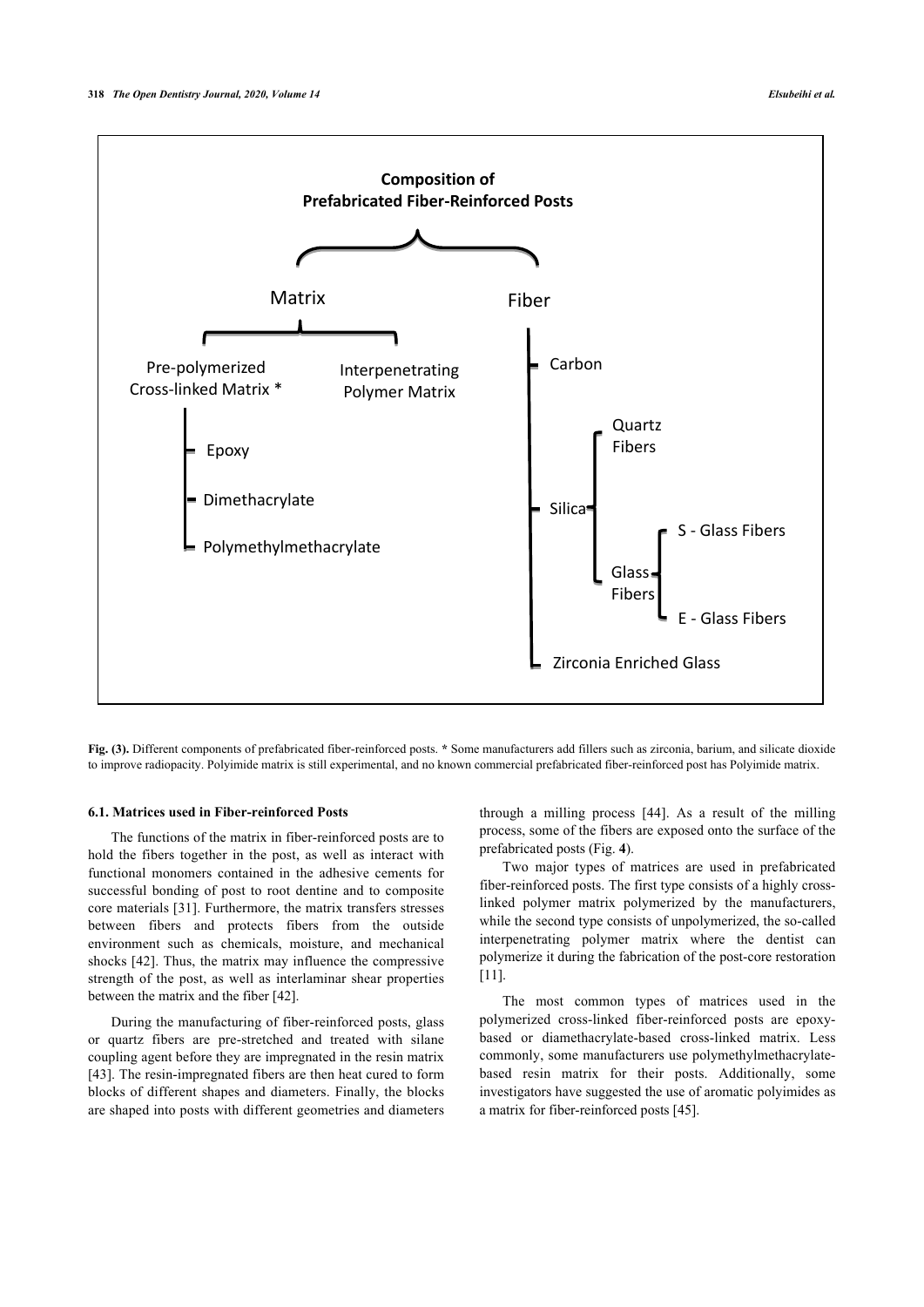

**Fig. (3).** Different components of prefabricated fiber-reinforced posts. **\*** Some manufacturers add fillers such as zirconia, barium, and silicate dioxide to improve radiopacity. Polyimide matrix is still experimental, and no known commercial prefabricated fiber-reinforced post has Polyimide matrix.

## **6.1. Matrices used in Fiber-reinforced Posts**

The functions of the matrix in fiber-reinforced posts are to hold the fibers together in the post, as well as interact with functional monomers contained in the adhesive cements for successful bonding of post to root dentine and to composite core materials [31]. Furthermore, the matrix transfers stresses between fibers and protects fibers from the outside environment such as chemicals, moisture, and mechanical shocks [42]. Thus, the matrix may influence the compressive strength of the post, as well as interlaminar shear properties between the matrix and the fiber [42].

During the manufacturing of fiber-reinforced posts, glass or quartz fibers are pre-stretched and treated with silane coupling agent before they are impregnated in the resin matrix [43]. The resin-impregnated fibers are then heat cured to form blocks of different shapes and diameters. Finally, the blocks are shaped into posts with different geometries and diameters

through a milling process [44]. As a result of the milling process, some of the fibers are exposed onto the surface of the prefabricated posts (Fig. **4**).

Two major types of matrices are used in prefabricated fiber-reinforced posts. The first type consists of a highly crosslinked polymer matrix polymerized by the manufacturers, while the second type consists of unpolymerized, the so-called interpenetrating polymer matrix where the dentist can polymerize it during the fabrication of the post-core restoration [11].

The most common types of matrices used in the polymerized cross-linked fiber-reinforced posts are epoxybased or diamethacrylate-based cross-linked matrix. Less commonly, some manufacturers use polymethylmethacrylatebased resin matrix for their posts. Additionally, some investigators have suggested the use of aromatic polyimides as a matrix for fiber-reinforced posts [45].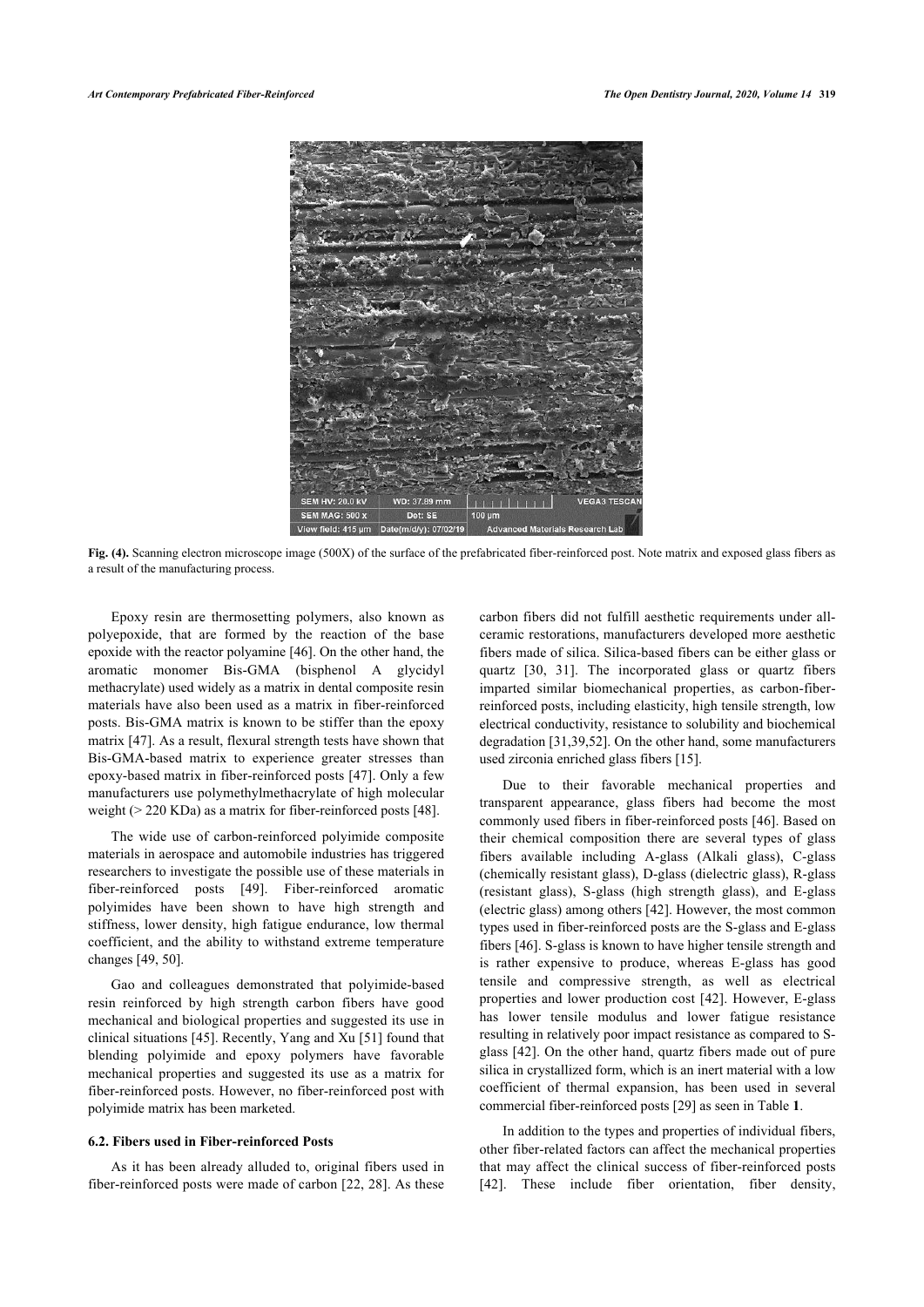

**Fig. (4).** Scanning electron microscope image (500X) of the surface of the prefabricated fiber-reinforced post. Note matrix and exposed glass fibers as a result of the manufacturing process.

Epoxy resin are thermosetting polymers, also known as polyepoxide, that are formed by the reaction of the base epoxide with the reactor polyamine [46]. On the other hand, the aromatic monomer Bis-GMA (bisphenol A glycidyl methacrylate) used widely as a matrix in dental composite resin materials have also been used as a matrix in fiber-reinforced posts. Bis-GMA matrix is known to be stiffer than the epoxy matrix [47]. As a result, flexural strength tests have shown that Bis-GMA-based matrix to experience greater stresses than epoxy-based matrix in fiber-reinforced posts [47]. Only a few manufacturers use polymethylmethacrylate of high molecular weight (> 220 KDa) as a matrix for fiber-reinforced posts [48].

The wide use of carbon-reinforced polyimide composite materials in aerospace and automobile industries has triggered researchers to investigate the possible use of these materials in fiber-reinforced posts [49]. Fiber-reinforced aromatic polyimides have been shown to have high strength and stiffness, lower density, high fatigue endurance, low thermal coefficient, and the ability to withstand extreme temperature changes [49, 50].

Gao and colleagues demonstrated that polyimide-based resin reinforced by high strength carbon fibers have good mechanical and biological properties and suggested its use in clinical situations [45]. Recently, Yang and Xu [51] found that blending polyimide and epoxy polymers have favorable mechanical properties and suggested its use as a matrix for fiber-reinforced posts. However, no fiber-reinforced post with polyimide matrix has been marketed.

#### **6.2. Fibers used in Fiber-reinforced Posts**

As it has been already alluded to, original fibers used in fiber-reinforced posts were made of carbon [22, 28]. As these carbon fibers did not fulfill aesthetic requirements under allceramic restorations, manufacturers developed more aesthetic fibers made of silica. Silica-based fibers can be either glass or quartz [30, 31]. The incorporated glass or quartz fibers imparted similar biomechanical properties, as carbon-fiberreinforced posts, including elasticity, high tensile strength, low electrical conductivity, resistance to solubility and biochemical degradation [31,39,52]. On the other hand, some manufacturers used zirconia enriched glass fibers [15].

Due to their favorable mechanical properties and transparent appearance, glass fibers had become the most commonly used fibers in fiber-reinforced posts [46]. Based on their chemical composition there are several types of glass fibers available including A-glass (Alkali glass), C-glass (chemically resistant glass), D-glass (dielectric glass), R-glass (resistant glass), S-glass (high strength glass), and E-glass (electric glass) among others [42]. However, the most common types used in fiber-reinforced posts are the S-glass and E-glass fibers [46]. S-glass is known to have higher tensile strength and is rather expensive to produce, whereas E-glass has good tensile and compressive strength, as well as electrical properties and lower production cost [42]. However, E-glass has lower tensile modulus and lower fatigue resistance resulting in relatively poor impact resistance as compared to Sglass [42]. On the other hand, quartz fibers made out of pure silica in crystallized form, which is an inert material with a low coefficient of thermal expansion, has been used in several commercial fiber-reinforced posts [29] as seen in Table **1**.

In addition to the types and properties of individual fibers, other fiber-related factors can affect the mechanical properties that may affect the clinical success of fiber-reinforced posts [42]. These include fiber orientation, fiber density,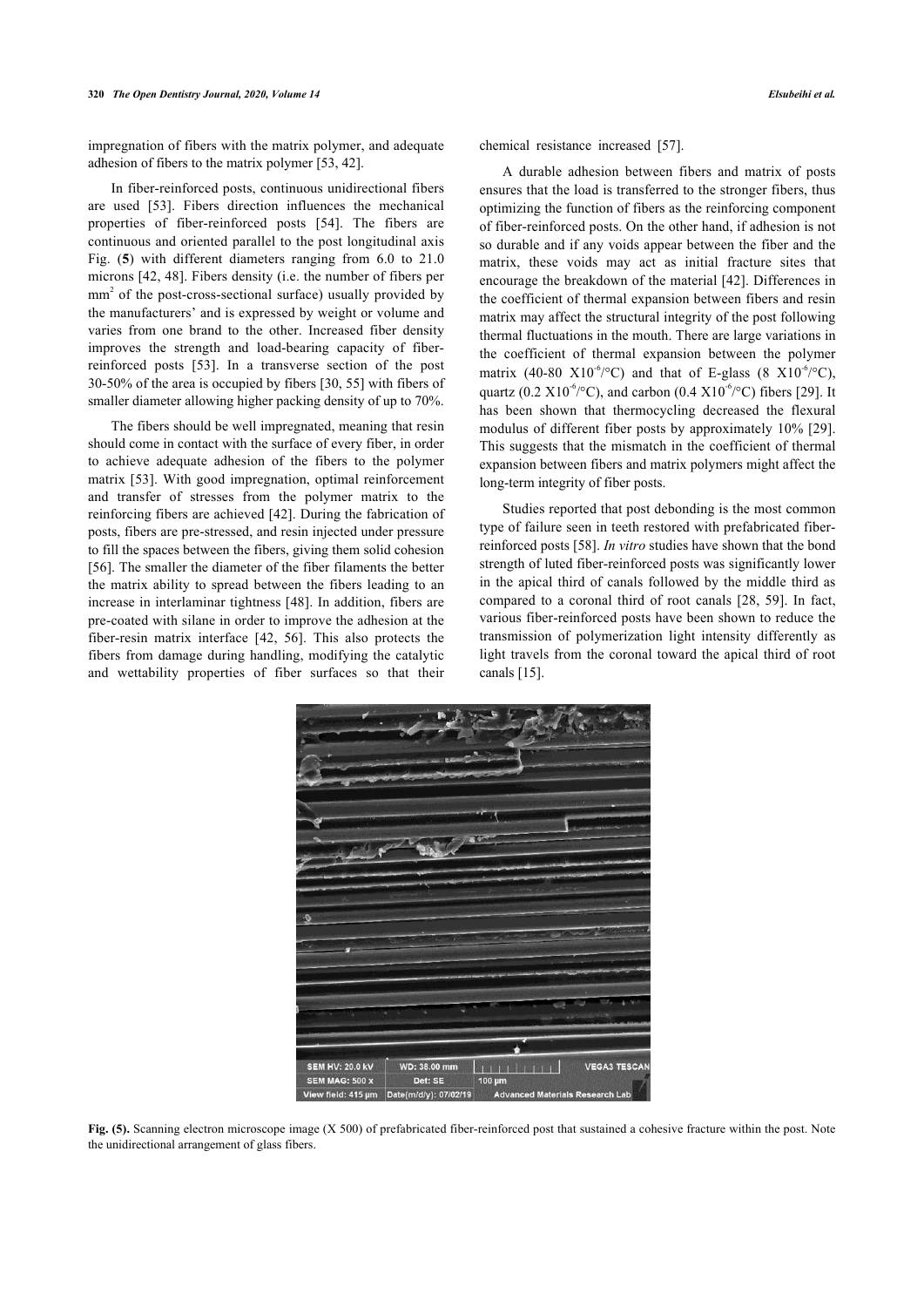impregnation of fibers with the matrix polymer, and adequate adhesion of fibers to the matrix polymer [53, 42].

In fiber-reinforced posts, continuous unidirectional fibers are used [53]. Fibers direction influences the mechanical properties of fiber-reinforced posts [54]. The fibers are continuous and oriented parallel to the post longitudinal axis Fig. (**5**) with different diameters ranging from 6.0 to 21.0 microns [42, 48]. Fibers density (i.e. the number of fibers per mm<sup>2</sup> of the post-cross-sectional surface) usually provided by the manufacturers' and is expressed by weight or volume and varies from one brand to the other. Increased fiber density improves the strength and load-bearing capacity of fiberreinforced posts [53]. In a transverse section of the post 30-50% of the area is occupied by fibers [30, 55] with fibers of smaller diameter allowing higher packing density of up to 70%.

The fibers should be well impregnated, meaning that resin should come in contact with the surface of every fiber, in order to achieve adequate adhesion of the fibers to the polymer matrix [53]. With good impregnation, optimal reinforcement and transfer of stresses from the polymer matrix to the reinforcing fibers are achieved [42]. During the fabrication of posts, fibers are pre-stressed, and resin injected under pressure to fill the spaces between the fibers, giving them solid cohesion [56]. The smaller the diameter of the fiber filaments the better the matrix ability to spread between the fibers leading to an increase in interlaminar tightness [48]. In addition, fibers are pre-coated with silane in order to improve the adhesion at the fiber-resin matrix interface [42, 56]. This also protects the fibers from damage during handling, modifying the catalytic and wettability properties of fiber surfaces so that their

chemical resistance increased [57].

A durable adhesion between fibers and matrix of posts ensures that the load is transferred to the stronger fibers, thus optimizing the function of fibers as the reinforcing component of fiber-reinforced posts. On the other hand, if adhesion is not so durable and if any voids appear between the fiber and the matrix, these voids may act as initial fracture sites that encourage the breakdown of the material [42]. Differences in the coefficient of thermal expansion between fibers and resin matrix may affect the structural integrity of the post following thermal fluctuations in the mouth. There are large variations in the coefficient of thermal expansion between the polymer matrix (40-80 X10<sup>-6</sup>/°C) and that of E-glass (8 X10<sup>-6</sup>/°C), quartz (0.2  $X10^{-6}$ /°C), and carbon (0.4  $X10^{-6}$ /°C) fibers [29]. It has been shown that thermocycling decreased the flexural modulus of different fiber posts by approximately 10% [29]. This suggests that the mismatch in the coefficient of thermal expansion between fibers and matrix polymers might affect the long-term integrity of fiber posts.

Studies reported that post debonding is the most common type of failure seen in teeth restored with prefabricated fiberreinforced posts [58]. *In vitro* studies have shown that the bond strength of luted fiber-reinforced posts was significantly lower in the apical third of canals followed by the middle third as compared to a coronal third of root canals [28, 59]. In fact, various fiber-reinforced posts have been shown to reduce the transmission of polymerization light intensity differently as light travels from the coronal toward the apical third of root canals [15].



Fig. (5). Scanning electron microscope image (X 500) of prefabricated fiber-reinforced post that sustained a cohesive fracture within the post. Note the unidirectional arrangement of glass fibers.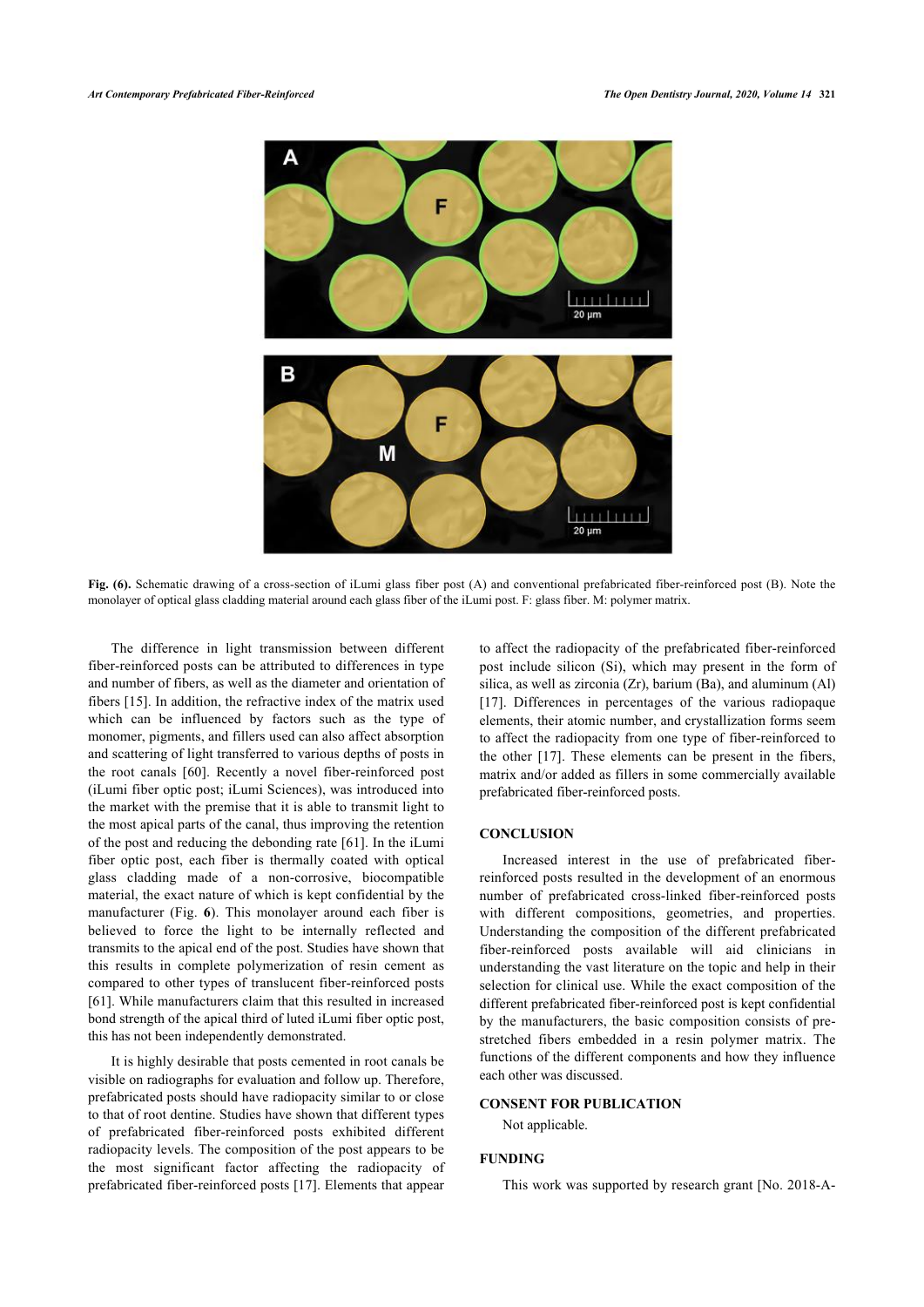

**Fig. (6).** Schematic drawing of a cross-section of iLumi glass fiber post (A) and conventional prefabricated fiber-reinforced post (B). Note the monolayer of optical glass cladding material around each glass fiber of the iLumi post. F: glass fiber. M: polymer matrix.

The difference in light transmission between different fiber-reinforced posts can be attributed to differences in type and number of fibers, as well as the diameter and orientation of fibers [15]. In addition, the refractive index of the matrix used which can be influenced by factors such as the type of monomer, pigments, and fillers used can also affect absorption and scattering of light transferred to various depths of posts in the root canals [60]. Recently a novel fiber-reinforced post (iLumi fiber optic post; iLumi Sciences), was introduced into the market with the premise that it is able to transmit light to the most apical parts of the canal, thus improving the retention of the post and reducing the debonding rate [61]. In the iLumi fiber optic post, each fiber is thermally coated with optical glass cladding made of a non-corrosive, biocompatible material, the exact nature of which is kept confidential by the manufacturer (Fig. **6**). This monolayer around each fiber is believed to force the light to be internally reflected and transmits to the apical end of the post. Studies have shown that this results in complete polymerization of resin cement as compared to other types of translucent fiber-reinforced posts [61]. While manufacturers claim that this resulted in increased bond strength of the apical third of luted iLumi fiber optic post, this has not been independently demonstrated.

It is highly desirable that posts cemented in root canals be visible on radiographs for evaluation and follow up. Therefore, prefabricated posts should have radiopacity similar to or close to that of root dentine. Studies have shown that different types of prefabricated fiber-reinforced posts exhibited different radiopacity levels. The composition of the post appears to be the most significant factor affecting the radiopacity of prefabricated fiber-reinforced posts [17]. Elements that appear

to affect the radiopacity of the prefabricated fiber-reinforced post include silicon (Si), which may present in the form of silica, as well as zirconia (Zr), barium (Ba), and aluminum (Al) [17]. Differences in percentages of the various radiopaque elements, their atomic number, and crystallization forms seem to affect the radiopacity from one type of fiber-reinforced to the other [17]. These elements can be present in the fibers, matrix and/or added as fillers in some commercially available prefabricated fiber-reinforced posts.

## **CONCLUSION**

Increased interest in the use of prefabricated fiberreinforced posts resulted in the development of an enormous number of prefabricated cross-linked fiber-reinforced posts with different compositions, geometries, and properties. Understanding the composition of the different prefabricated fiber-reinforced posts available will aid clinicians in understanding the vast literature on the topic and help in their selection for clinical use. While the exact composition of the different prefabricated fiber-reinforced post is kept confidential by the manufacturers, the basic composition consists of prestretched fibers embedded in a resin polymer matrix. The functions of the different components and how they influence each other was discussed.

## **CONSENT FOR PUBLICATION**

Not applicable.

#### **FUNDING**

This work was supported by research grant [No. 2018-A-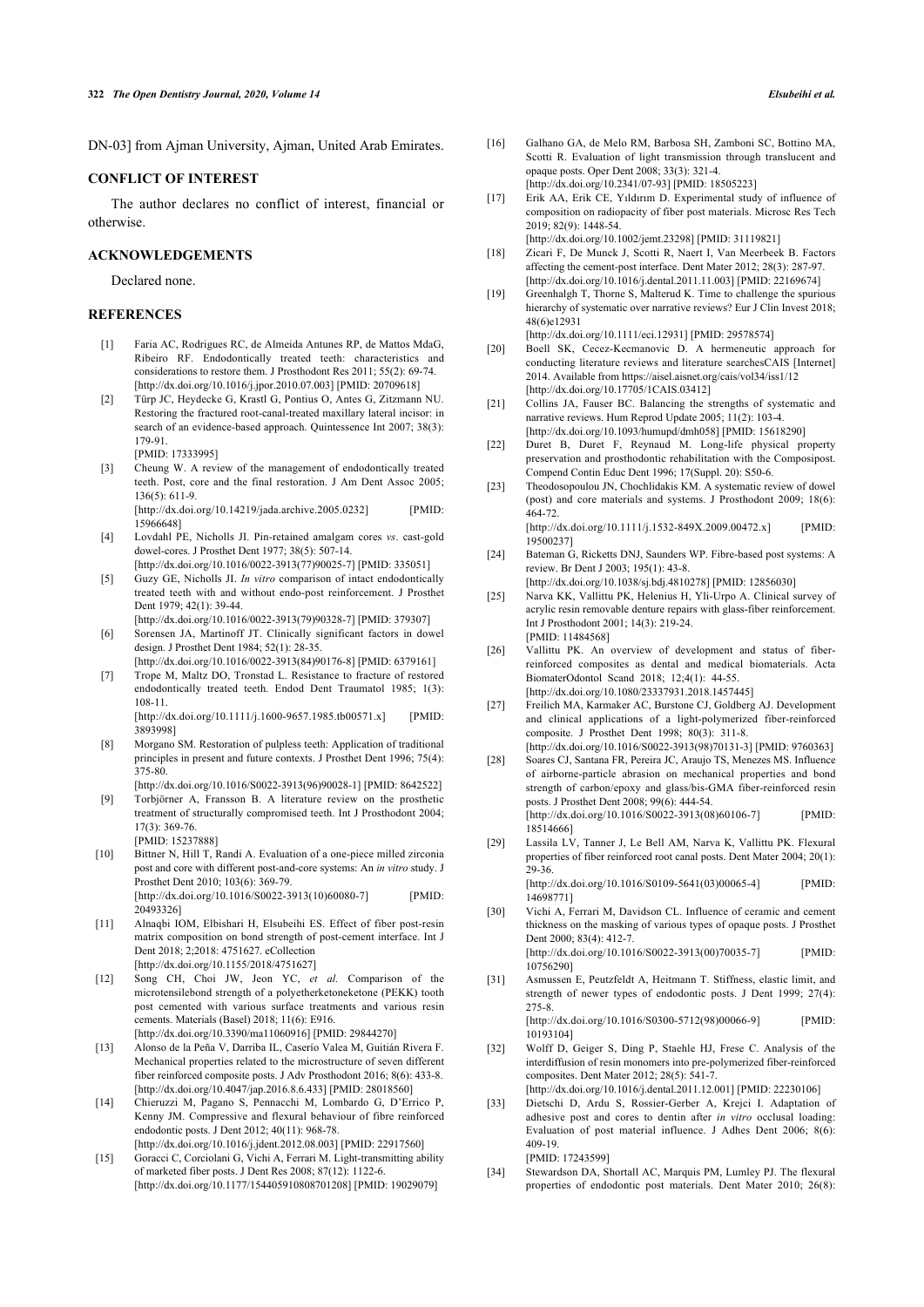DN-03] from Ajman University, Ajman, United Arab Emirates.

### **CONFLICT OF INTEREST**

The author declares no conflict of interest, financial or otherwise.

#### **ACKNOWLEDGEMENTS**

Declared none.

#### **REFERENCES**

- [1] Faria AC, Rodrigues RC, de Almeida Antunes RP, de Mattos MdaG, Ribeiro RF. Endodontically treated teeth: characteristics and considerations to restore them. J Prosthodont Res 2011; 55(2): 69-74. [http://dx.doi.org/10.1016/j.jpor.2010.07.003] [PMID: 20709618]
- [2] Türp JC, Heydecke G, Krastl G, Pontius O, Antes G, Zitzmann NU. Restoring the fractured root-canal-treated maxillary lateral incisor: in search of an evidence-based approach. Quintessence Int 2007; 38(3): 179-91. [PMID: 17333995]
	-
- [3] Cheung W. A review of the management of endodontically treated teeth. Post, core and the final restoration. J Am Dent Assoc 2005; 136(5): 611-9. [http://dx.doi.org/10.14219/jada.archive.2005.0232] [PMID:

15966648]

- [4] Lovdahl PE, Nicholls JI. Pin-retained amalgam cores *vs*. cast-gold dowel-cores. J Prosthet Dent 1977; 38(5): 507-14.
	- [http://dx.doi.org/10.1016/0022-3913(77)90025-7] [PMID: 335051]
- [5] Guzy GE, Nicholls JI. *In vitro* comparison of intact endodontically treated teeth with and without endo-post reinforcement. J Prosthet Dent 1979; 42(1): 39-44. [http://dx.doi.org/10.1016/0022-3913(79)90328-7] [PMID: 379307]
- [6] Sorensen JA, Martinoff JT. Clinically significant factors in dowel design. J Prosthet Dent 1984; 52(1): 28-35.
- [http://dx.doi.org/10.1016/0022-3913(84)90176-8] [PMID: 6379161] [7] Trope M, Maltz DO, Tronstad L. Resistance to fracture of restored endodontically treated teeth. Endod Dent Traumatol 1985; 1(3): 108-11.

[http://dx.doi.org/10.1111/j.1600-9657.1985.tb00571.x] [PMID: 3893998]

- [8] Morgano SM. Restoration of pulpless teeth: Application of traditional principles in present and future contexts. J Prosthet Dent 1996; 75(4):  $375 - 80$
- [http://dx.doi.org/10.1016/S0022-3913(96)90028-1] [PMID: 8642522] [9] Torbjörner A, Fransson B. A literature review on the prosthetic treatment of structurally compromised teeth. Int J Prosthodont 2004; 17(3): 369-76.
- [PMID: 15237888] [10] Bittner N, Hill T, Randi A. Evaluation of a one-piece milled zirconia post and core with different post-and-core systems: An *in vitro* study. J Prosthet Dent 2010; 103(6): 369-79. [http://dx.doi.org/10.1016/S0022-3913(10)60080-7] [PMID: 20493326]
- [11] Alnaqbi IOM, Elbishari H, Elsubeihi ES. Effect of fiber post-resin matrix composition on bond strength of post-cement interface. Int J Dent 2018; 2;2018: 4751627. eCollection [http://dx.doi.org/10.1155/2018/4751627]
- [12] Song CH, Choi JW, Jeon YC, *et al.* Comparison of the microtensilebond strength of a polyetherketoneketone (PEKK) tooth post cemented with various surface treatments and various resin cements. Materials (Basel) 2018; 11(6): E916. [http://dx.doi.org/10.3390/ma11060916] [PMID: 29844270]
- [13] Alonso de la Peña V, Darriba IL, Caserío Valea M, Guitián Rivera F. Mechanical properties related to the microstructure of seven different fiber reinforced composite posts. J Adv Prosthodont 2016; 8(6): 433-8. [http://dx.doi.org/10.4047/jap.2016.8.6.433] [PMID: 28018560]
- [14] Chieruzzi M, Pagano S, Pennacchi M, Lombardo G, D'Errico P, Kenny JM. Compressive and flexural behaviour of fibre reinforced endodontic posts. J Dent 2012; 40(11): 968-78. [http://dx.doi.org/10.1016/j.jdent.2012.08.003] [PMID: 22917560]
- [15] Goracci C, Corciolani G, Vichi A, Ferrari M. Light-transmitting ability of marketed fiber posts. J Dent Res 2008; 87(12): 1122-6. [http://dx.doi.org/10.1177/154405910808701208] [PMID: 19029079]
- [16] Galhano GA, de Melo RM, Barbosa SH, Zamboni SC, Bottino MA, Scotti R. Evaluation of light transmission through translucent and opaque posts. Oper Dent 2008; 33(3): 321-4. [http://dx.doi.org/10.2341/07-93] [PMID: 18505223]
- [17] Erik AA, Erik CE, Yıldırım D. Experimental study of influence of composition on radiopacity of fiber post materials. Microsc Res Tech 2019; 82(9): 1448-54.
- [http://dx.doi.org/10.1002/jemt.23298] [PMID: 31119821]
- [18] Zicari F, De Munck J, Scotti R, Naert I, Van Meerbeek B. Factors affecting the cement-post interface. Dent Mater 2012; 28(3): 287-97. [http://dx.doi.org/10.1016/j.dental.2011.11.003] [PMID: 22169674]
- [19] Greenhalgh T, Thorne S, Malterud K. Time to challenge the spurious hierarchy of systematic over narrative reviews? Eur J Clin Invest 2018; 48(6)e12931

[http://dx.doi.org/10.1111/eci.12931] [PMID: 29578574]

- [20] Boell SK, Cecez-Kecmanovic D. A hermeneutic approach for conducting literature reviews and literature searchesCAIS [Internet] 2014. Available from https://aisel.aisnet.org/cais/vol34/iss1/12 [http://dx.doi.org/10.17705/1CAIS.03412]
- [21] Collins JA, Fauser BC. Balancing the strengths of systematic and narrative reviews. Hum Reprod Update 2005; 11(2): 103-4. [http://dx.doi.org/10.1093/humupd/dmh058] [PMID: 15618290]
- [22] Duret B, Duret F, Reynaud M. Long-life physical property preservation and prosthodontic rehabilitation with the Composipost. Compend Contin Educ Dent 1996; 17(Suppl. 20): S50-6.
- [23] Theodosopoulou JN, Chochlidakis KM. A systematic review of dowel (post) and core materials and systems. J Prosthodont 2009; 18(6): 464-72. [http://dx.doi.org/10.1111/j.1532-849X.2009.00472.x] [PMID:
- 19500237] [24] Bateman G, Ricketts DNJ, Saunders WP. Fibre-based post systems: A review. Br Dent J 2003; 195(1): 43-8.

[http://dx.doi.org/10.1038/sj.bdj.4810278] [PMID: 12856030]

- [25] Narva KK, Vallittu PK, Helenius H, Yli-Urpo A. Clinical survey of acrylic resin removable denture repairs with glass-fiber reinforcement. Int J Prosthodont 2001; 14(3): 219-24. [PMID: 11484568]
- [26] Vallittu PK. An overview of development and status of fiberreinforced composites as dental and medical biomaterials. Acta BiomaterOdontol Scand 2018; 12;4(1): 44-55. [http://dx.doi.org/10.1080/23337931.2018.1457445]
- [27] Freilich MA, Karmaker AC, Burstone CJ, Goldberg AJ. Development and clinical applications of a light-polymerized fiber-reinforced composite. J Prosthet Dent 1998; 80(3): 311-8.
- [http://dx.doi.org/10.1016/S0022-3913(98)70131-3] [PMID: 9760363] [28] Soares CJ, Santana FR, Pereira JC, Araujo TS, Menezes MS. Influence of airborne-particle abrasion on mechanical properties and bond strength of carbon/epoxy and glass/bis-GMA fiber-reinforced resin posts. J Prosthet Dent 2008; 99(6): 444-54. [http://dx.doi.org/10.1016/S0022-3913(08)60106-7] [PMID: 18514666]
- [29] Lassila LV, Tanner J, Le Bell AM, Narva K, Vallittu PK. Flexural properties of fiber reinforced root canal posts. Dent Mater 2004; 20(1): 29-36. [http://dx.doi.org/10.1016/S0109-5641(03)00065-4] [PMID:

14698771]

- [30] Vichi A, Ferrari M, Davidson CL. Influence of ceramic and cement thickness on the masking of various types of opaque posts. J Prosthet Dent 2000; 83(4): 412-7. [http://dx.doi.org/10.1016/S0022-3913(00)70035-7] [PMID: 10756290]
- [31] Asmussen E, Peutzfeldt A, Heitmann T. Stiffness, elastic limit, and strength of newer types of endodontic posts. J Dent 1999; 27(4): 275-8. [http://dx.doi.org/10.1016/S0300-5712(98)00066-9] [PMID: 10193104]
- [32] Wolff D, Geiger S, Ding P, Staehle HJ, Frese C. Analysis of the interdiffusion of resin monomers into pre-polymerized fiber-reinforced composites. Dent Mater 2012; 28(5): 541-7.
- [http://dx.doi.org/10.1016/j.dental.2011.12.001] [PMID: 22230106] [33] Dietschi D, Ardu S, Rossier-Gerber A, Krejci I. Adaptation of adhesive post and cores to dentin after *in vitro* occlusal loading: Evaluation of post material influence. J Adhes Dent 2006; 8(6): 409-19. [PMID: 17243599]
- [34] Stewardson DA, Shortall AC, Marquis PM, Lumley PJ. The flexural properties of endodontic post materials. Dent Mater 2010; 26(8):